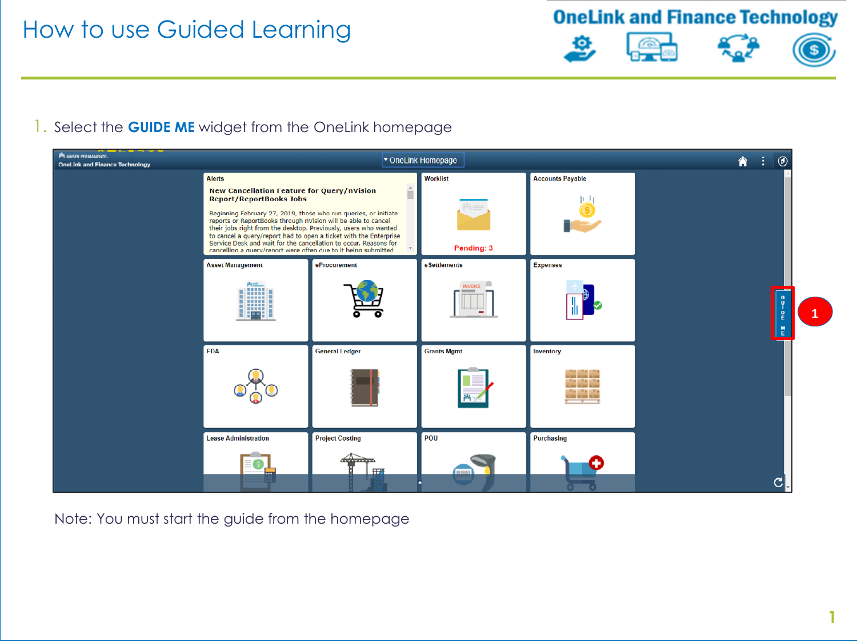**OneLink and Finance Technology** 







**1**

#### 1. Select the **GUIDE ME** widget from the OneLink homepage



Note: You must start the guide from the homepage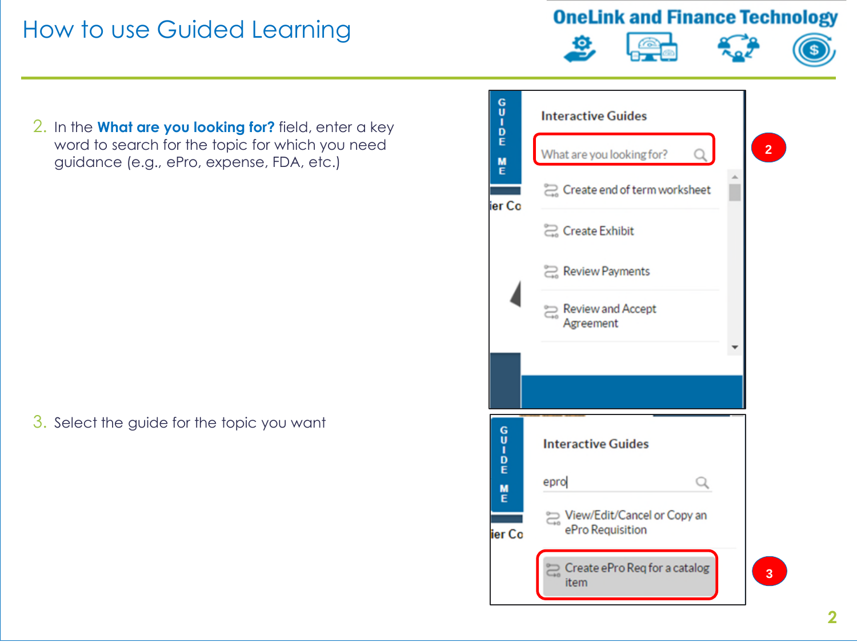**OneLink and Finance Technology** 





2. In the **What are you looking for?** field, enter a key word to search for the topic for which you need guidance (e.g., ePro, expense, FDA, etc.)

3. Select the guide for the topic you want

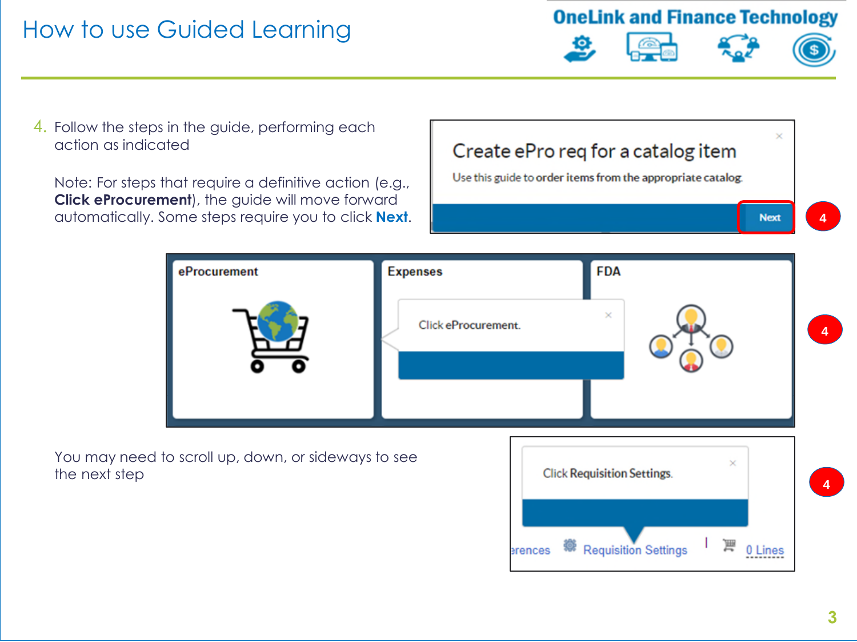**OneLink and Finance Technology** 





**Next** 

4. Follow the steps in the guide, performing each action as indicated

Note: For steps that require a definitive action (e.g., **Click eProcurement**), the guide will move forward automatically. Some steps require you to click **Next**. Create ePro reg for a catalog item

Use this guide to order items from the appropriate catalog.

**4**



You may need to scroll up, down, or sideways to see the next step

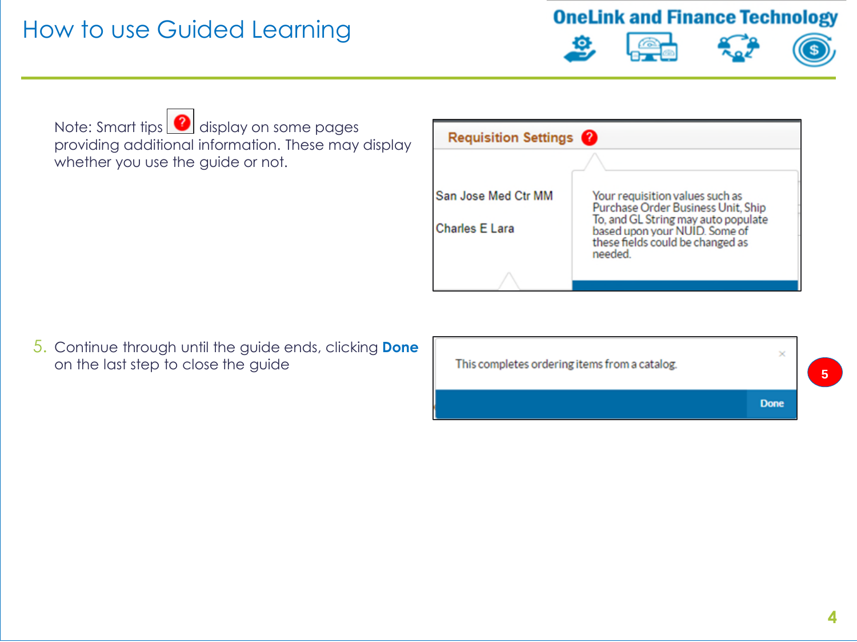**OneLink and Finance Technology** 









Note: Smart tips **d** display on some pages providing additional information. These may display whether you use the guide or not.

| <b>Requisition Settings</b> ?         |                                                                                                                                                                                              |
|---------------------------------------|----------------------------------------------------------------------------------------------------------------------------------------------------------------------------------------------|
|                                       |                                                                                                                                                                                              |
| San Jose Med Ctr MM<br>Charles E Lara | Your requisition values such as<br>Purchase Order Business Unit, Ship<br>To, and GL String may auto populate<br>based upon your NUID. Some of<br>these fields could be changed as<br>needed. |
|                                       |                                                                                                                                                                                              |

5. Continue through until the guide ends, clicking **Done** on the last step to close the guide